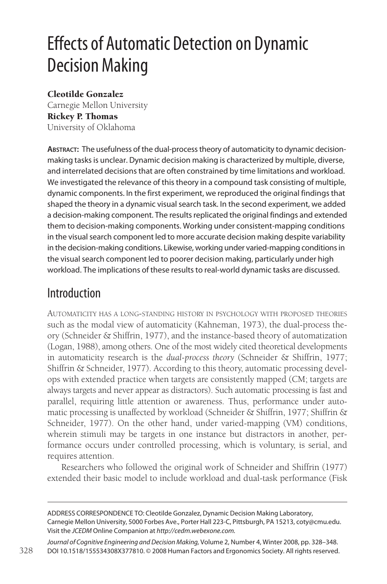# Effects of Automatic Detection on Dynamic Decision Making

# Cleotilde Gonzalez

Carnegie Mellon University Rickey P. Thomas University of Oklahoma

**ABSTRACT:** The usefulness of the dual-process theory of automaticity to dynamic decisionmaking tasks is unclear. Dynamic decision making is characterized by multiple, diverse, and interrelated decisions that are often constrained by time limitations and workload. We investigated the relevance of this theory in a compound task consisting of multiple, dynamic components. In the first experiment, we reproduced the original findings that shaped the theory in a dynamic visual search task. In the second experiment, we added a decision-making component. The results replicated the original findings and extended them to decision-making components. Working under consistent-mapping conditions in the visual search component led to more accurate decision making despite variability in the decision-making conditions. Likewise, working under varied-mapping conditions in the visual search component led to poorer decision making, particularly under high workload. The implications of these results to real-world dynamic tasks are discussed.

# Introduction

AUTOMATICITY HAS A LONG-STANDING HISTORY IN PSYCHOLOGY WITH PROPOSED THEORIES such as the modal view of automaticity (Kahneman, 1973), the dual-process theory (Schneider & Shiffrin, 1977), and the instance-based theory of automatization (Logan, 1988), among others. One of the most widely cited theoretical developments in automaticity research is the *dual-process theory* (Schneider & Shiffrin, 1977; Shiffrin & Schneider, 1977). According to this theory, automatic processing develops with extended practice when targets are consistently mapped (CM; targets are always targets and never appear as distractors). Such automatic processing is fast and parallel, requiring little attention or awareness. Thus, performance under automatic processing is unaffected by workload (Schneider & Shiffrin, 1977; Shiffrin & Schneider, 1977). On the other hand, under varied-mapping (VM) conditions, wherein stimuli may be targets in one instance but distractors in another, performance occurs under controlled processing, which is voluntary, is serial, and requires attention.

Researchers who followed the original work of Schneider and Shiffrin (1977) extended their basic model to include workload and dual-task performance (Fisk

Journal of Cognitive Engineering and Decision Making, Volume 2, Number 4, Winter 2008, pp. 328–348. 328 DOI 10.1518/155534308X377810. © 2008 Human Factors and Ergonomics Society. All rights reserved.

ADDRESS CORRESPONDENCE TO: Cleotilde Gonzalez, Dynamic Decision Making Laboratory, Carnegie Mellon University, 5000 Forbes Ave., Porter Hall 223-C, Pittsburgh, PA 15213, coty@cmu.edu. Visit the JCEDM Online Companion at http://cedm.webexone.com.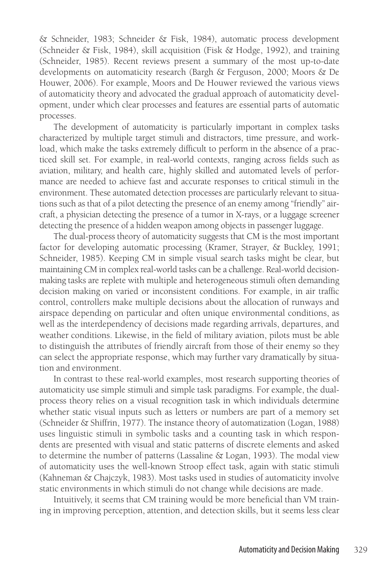& Schneider, 1983; Schneider & Fisk, 1984), automatic process development (Schneider & Fisk, 1984), skill acquisition (Fisk & Hodge, 1992), and training (Schneider, 1985). Recent reviews present a summary of the most up-to-date developments on automaticity research (Bargh & Ferguson, 2000; Moors & De Houwer, 2006). For example, Moors and De Houwer reviewed the various views of automaticity theory and advocated the gradual approach of automaticity development, under which clear processes and features are essential parts of automatic processes.

The development of automaticity is particularly important in complex tasks characterized by multiple target stimuli and distractors, time pressure, and workload, which make the tasks extremely difficult to perform in the absence of a practiced skill set. For example, in real-world contexts, ranging across fields such as aviation, military, and health care, highly skilled and automated levels of performance are needed to achieve fast and accurate responses to critical stimuli in the environment. These automated detection processes are particularly relevant to situations such as that of a pilot detecting the presence of an enemy among "friendly" aircraft, a physician detecting the presence of a tumor in X-rays, or a luggage screener detecting the presence of a hidden weapon among objects in passenger luggage.

The dual-process theory of automaticity suggests that CM is the most important factor for developing automatic processing (Kramer, Strayer, & Buckley, 1991; Schneider, 1985). Keeping CM in simple visual search tasks might be clear, but maintaining CM in complex real-world tasks can be a challenge. Real-world decisionmaking tasks are replete with multiple and heterogeneous stimuli often demanding decision making on varied or inconsistent conditions. For example, in air traffic control, controllers make multiple decisions about the allocation of runways and airspace depending on particular and often unique environmental conditions, as well as the interdependency of decisions made regarding arrivals, departures, and weather conditions. Likewise, in the field of military aviation, pilots must be able to distinguish the attributes of friendly aircraft from those of their enemy so they can select the appropriate response, which may further vary dramatically by situation and environment.

In contrast to these real-world examples, most research supporting theories of automaticity use simple stimuli and simple task paradigms. For example, the dualprocess theory relies on a visual recognition task in which individuals determine whether static visual inputs such as letters or numbers are part of a memory set (Schneider & Shiffrin, 1977). The instance theory of automatization (Logan, 1988) uses linguistic stimuli in symbolic tasks and a counting task in which respondents are presented with visual and static patterns of discrete elements and asked to determine the number of patterns (Lassaline & Logan, 1993). The modal view of automaticity uses the well-known Stroop effect task, again with static stimuli (Kahneman & Chajczyk, 1983). Most tasks used in studies of automaticity involve static environments in which stimuli do not change while decisions are made.

Intuitively, it seems that CM training would be more beneficial than VM training in improving perception, attention, and detection skills, but it seems less clear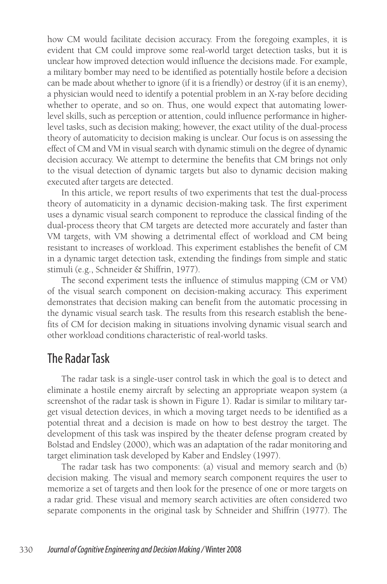how CM would facilitate decision accuracy. From the foregoing examples, it is evident that CM could improve some real-world target detection tasks, but it is unclear how improved detection would influence the decisions made. For example, a military bomber may need to be identified as potentially hostile before a decision can be made about whether to ignore (if it is a friendly) or destroy (if it is an enemy), a physician would need to identify a potential problem in an X-ray before deciding whether to operate, and so on. Thus, one would expect that automating lowerlevel skills, such as perception or attention, could influence performance in higherlevel tasks, such as decision making; however, the exact utility of the dual-process theory of automaticity to decision making is unclear. Our focus is on assessing the effect of CM and VM in visual search with dynamic stimuli on the degree of dynamic decision accuracy. We attempt to determine the benefits that CM brings not only to the visual detection of dynamic targets but also to dynamic decision making executed after targets are detected.

In this article, we report results of two experiments that test the dual-process theory of automaticity in a dynamic decision-making task. The first experiment uses a dynamic visual search component to reproduce the classical finding of the dual-process theory that CM targets are detected more accurately and faster than VM targets, with VM showing a detrimental effect of workload and CM being resistant to increases of workload. This experiment establishes the benefit of CM in a dynamic target detection task, extending the findings from simple and static stimuli (e.g., Schneider & Shiffrin, 1977).

The second experiment tests the influence of stimulus mapping (CM or VM) of the visual search component on decision-making accuracy. This experiment demonstrates that decision making can benefit from the automatic processing in the dynamic visual search task. The results from this research establish the benefits of CM for decision making in situations involving dynamic visual search and other workload conditions characteristic of real-world tasks.

# The Radar Task

The radar task is a single-user control task in which the goal is to detect and eliminate a hostile enemy aircraft by selecting an appropriate weapon system (a screenshot of the radar task is shown in Figure 1). Radar is similar to military target visual detection devices, in which a moving target needs to be identified as a potential threat and a decision is made on how to best destroy the target. The development of this task was inspired by the theater defense program created by Bolstad and Endsley (2000), which was an adaptation of the radar monitoring and target elimination task developed by Kaber and Endsley (1997).

The radar task has two components: (a) visual and memory search and (b) decision making. The visual and memory search component requires the user to memorize a set of targets and then look for the presence of one or more targets on a radar grid. These visual and memory search activities are often considered two separate components in the original task by Schneider and Shiffrin (1977). The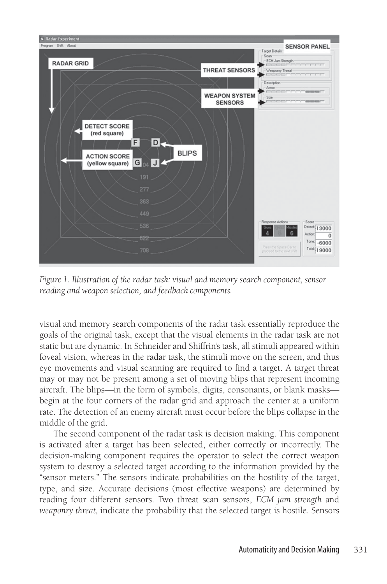

*Figure 1. Illustration of the radar task: visual and memory search component, sensor reading and weapon selection, and feedback components.*

visual and memory search components of the radar task essentially reproduce the goals of the original task, except that the visual elements in the radar task are not static but are dynamic. In Schneider and Shiffrin's task, all stimuli appeared within foveal vision, whereas in the radar task, the stimuli move on the screen, and thus eye movements and visual scanning are required to find a target. A target threat may or may not be present among a set of moving blips that represent incoming aircraft. The blips—in the form of symbols, digits, consonants, or blank masks begin at the four corners of the radar grid and approach the center at a uniform rate. The detection of an enemy aircraft must occur before the blips collapse in the middle of the grid.

The second component of the radar task is decision making. This component is activated after a target has been selected, either correctly or incorrectly. The decision-making component requires the operator to select the correct weapon system to destroy a selected target according to the information provided by the "sensor meters." The sensors indicate probabilities on the hostility of the target, type, and size. Accurate decisions (most effective weapons) are determined by reading four different sensors. Two threat scan sensors, *ECM jam strength* and *weaponry threat,* indicate the probability that the selected target is hostile. Sensors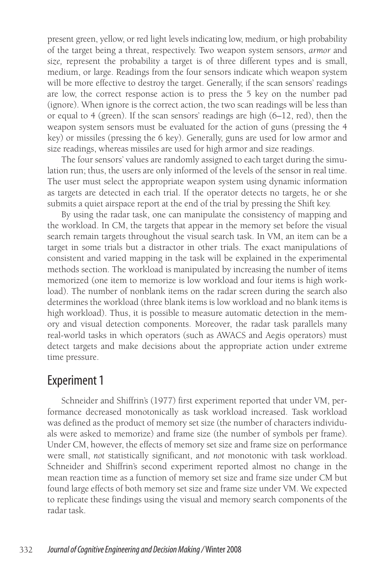present green, yellow, or red light levels indicating low, medium, or high probability of the target being a threat, respectively. Two weapon system sensors, *armor* and *size,* represent the probability a target is of three different types and is small, medium, or large. Readings from the four sensors indicate which weapon system will be more effective to destroy the target. Generally, if the scan sensors' readings are low, the correct response action is to press the 5 key on the number pad (ignore). When ignore is the correct action, the two scan readings will be less than or equal to 4 (green). If the scan sensors' readings are high (6–12, red), then the weapon system sensors must be evaluated for the action of guns (pressing the 4 key) or missiles (pressing the 6 key). Generally, guns are used for low armor and size readings, whereas missiles are used for high armor and size readings.

The four sensors' values are randomly assigned to each target during the simulation run; thus, the users are only informed of the levels of the sensor in real time. The user must select the appropriate weapon system using dynamic information as targets are detected in each trial. If the operator detects no targets, he or she submits a quiet airspace report at the end of the trial by pressing the Shift key.

By using the radar task, one can manipulate the consistency of mapping and the workload. In CM, the targets that appear in the memory set before the visual search remain targets throughout the visual search task. In VM, an item can be a target in some trials but a distractor in other trials. The exact manipulations of consistent and varied mapping in the task will be explained in the experimental methods section. The workload is manipulated by increasing the number of items memorized (one item to memorize is low workload and four items is high workload). The number of nonblank items on the radar screen during the search also determines the workload (three blank items is low workload and no blank items is high workload). Thus, it is possible to measure automatic detection in the memory and visual detection components. Moreover, the radar task parallels many real-world tasks in which operators (such as AWACS and Aegis operators) must detect targets and make decisions about the appropriate action under extreme time pressure.

# Experiment 1

Schneider and Shiffrin's (1977) first experiment reported that under VM, performance decreased monotonically as task workload increased. Task workload was defined as the product of memory set size (the number of characters individuals were asked to memorize) and frame size (the number of symbols per frame). Under CM, however, the effects of memory set size and frame size on performance were small, *not* statistically significant, and *not* monotonic with task workload. Schneider and Shiffrin's second experiment reported almost no change in the mean reaction time as a function of memory set size and frame size under CM but found large effects of both memory set size and frame size under VM. We expected to replicate these findings using the visual and memory search components of the radar task.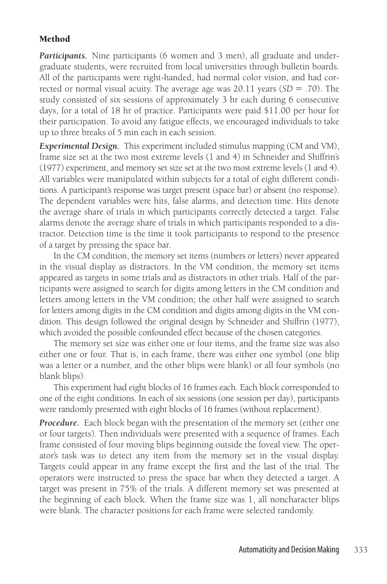## Method

*Participants.* Nine participants (6 women and 3 men), all graduate and undergraduate students, were recruited from local universities through bulletin boards. All of the participants were right-handed, had normal color vision, and had corrected or normal visual acuity. The average age was  $20.11$  years ( $SD = .70$ ). The study consisted of six sessions of approximately 3 hr each during 6 consecutive days, for a total of 18 hr of practice. Participants were paid \$11.00 per hour for their participation. To avoid any fatigue effects, we encouraged individuals to take up to three breaks of 5 min each in each session.

*Experimental Design.* This experiment included stimulus mapping (CM and VM), frame size set at the two most extreme levels (1 and 4) in Schneider and Shiffrin's (1977) experiment, and memory set size set at the two most extreme levels (1 and 4). All variables were manipulated within subjects for a total of eight different conditions. A participant's response was target present (space bar) or absent (no response). The dependent variables were hits, false alarms, and detection time. Hits denote the average share of trials in which participants correctly detected a target. False alarms denote the average share of trials in which participants responded to a distractor. Detection time is the time it took participants to respond to the presence of a target by pressing the space bar.

In the CM condition, the memory set items (numbers or letters) never appeared in the visual display as distractors. In the VM condition, the memory set items appeared as targets in some trials and as distractors in other trials. Half of the participants were assigned to search for digits among letters in the CM condition and letters among letters in the VM condition; the other half were assigned to search for letters among digits in the CM condition and digits among digits in the VM condition. This design followed the original design by Schneider and Shiffrin (1977), which avoided the possible confounded effect because of the chosen categories.

The memory set size was either one or four items, and the frame size was also either one or four. That is, in each frame, there was either one symbol (one blip was a letter or a number, and the other blips were blank) or all four symbols (no blank blips).

This experiment had eight blocks of 16 frames each. Each block corresponded to one of the eight conditions. In each of six sessions (one session per day), participants were randomly presented with eight blocks of 16 frames (without replacement).

*Procedure.* Each block began with the presentation of the memory set (either one or four targets). Then individuals were presented with a sequence of frames. Each frame consisted of four moving blips beginning outside the foveal view. The operator's task was to detect any item from the memory set in the visual display. Targets could appear in any frame except the first and the last of the trial. The operators were instructed to press the space bar when they detected a target. A target was present in 75% of the trials. A different memory set was presented at the beginning of each block. When the frame size was 1, all noncharacter blips were blank. The character positions for each frame were selected randomly.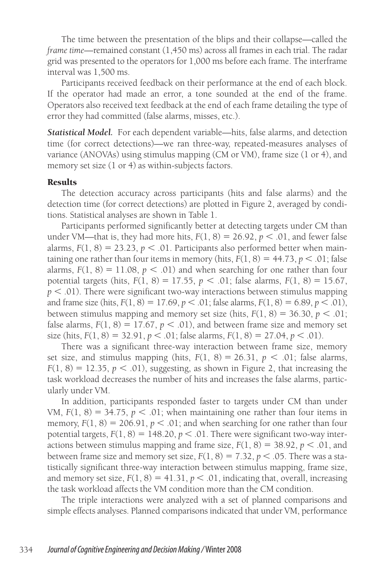The time between the presentation of the blips and their collapse—called the *frame time*—remained constant (1,450 ms) across all frames in each trial. The radar grid was presented to the operators for 1,000 ms before each frame. The interframe interval was 1,500 ms.

Participants received feedback on their performance at the end of each block. If the operator had made an error, a tone sounded at the end of the frame. Operators also received text feedback at the end of each frame detailing the type of error they had committed (false alarms, misses, etc.).

*Statistical Model.* For each dependent variable—hits, false alarms, and detection time (for correct detections)—we ran three-way, repeated-measures analyses of variance (ANOVAs) using stimulus mapping (CM or VM), frame size (1 or 4), and memory set size (1 or 4) as within-subjects factors.

#### **Results**

The detection accuracy across participants (hits and false alarms) and the detection time (for correct detections) are plotted in Figure 2, averaged by conditions. Statistical analyses are shown in Table 1.

Participants performed significantly better at detecting targets under CM than under VM—that is, they had more hits,  $F(1, 8) = 26.92$ ,  $p < .01$ , and fewer false alarms,  $F(1, 8) = 23.23$ ,  $p < .01$ . Participants also performed better when maintaining one rather than four items in memory (hits,  $F(1, 8) = 44.73$ ,  $p < .01$ ; false alarms,  $F(1, 8) = 11.08$ ,  $p < .01$ ) and when searching for one rather than four potential targets (hits,  $F(1, 8) = 17.55$ ,  $p < .01$ ; false alarms,  $F(1, 8) = 15.67$ ,  $p < .01$ ). There were significant two-way interactions between stimulus mapping and frame size (hits,  $F(1, 8) = 17.69, p < .01$ ; false alarms,  $F(1, 8) = 6.89, p < .01$ ), between stimulus mapping and memory set size (hits,  $F(1, 8) = 36.30, p < .01;$ false alarms,  $F(1, 8) = 17.67$ ,  $p < .01$ ), and between frame size and memory set size (hits,  $F(1, 8) = 32.91$ ,  $p < .01$ ; false alarms,  $F(1, 8) = 27.04$ ,  $p < .01$ ).

There was a significant three-way interaction between frame size, memory set size, and stimulus mapping (hits,  $F(1, 8) = 26.31$ ,  $p < .01$ ; false alarms,  $F(1, 8) = 12.35, p < .01$ , suggesting, as shown in Figure 2, that increasing the task workload decreases the number of hits and increases the false alarms, particularly under VM.

In addition, participants responded faster to targets under CM than under VM,  $F(1, 8) = 34.75$ ,  $p < .01$ ; when maintaining one rather than four items in memory,  $F(1, 8) = 206.91$ ,  $p < .01$ ; and when searching for one rather than four potential targets,  $F(1, 8) = 148.20$ ,  $p < .01$ . There were significant two-way interactions between stimulus mapping and frame size,  $F(1, 8) = 38.92$ ,  $p < .01$ , and between frame size and memory set size,  $F(1, 8) = 7.32$ ,  $p < .05$ . There was a statistically significant three-way interaction between stimulus mapping, frame size, and memory set size,  $F(1, 8) = 41.31$ ,  $p < .01$ , indicating that, overall, increasing the task workload affects the VM condition more than the CM condition.

The triple interactions were analyzed with a set of planned comparisons and simple effects analyses. Planned comparisons indicated that under VM, performance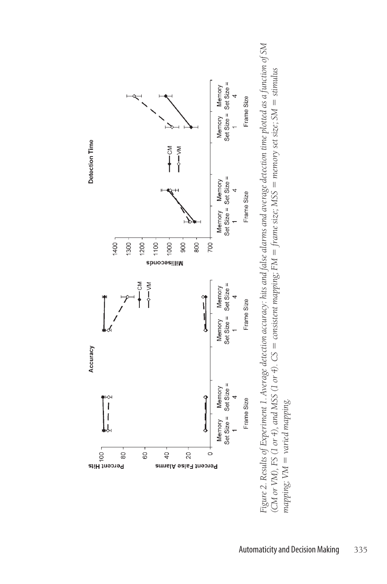

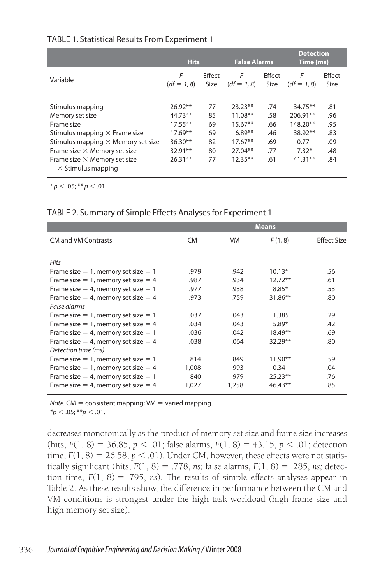| <b>Hits</b>   |               | <b>False Alarms</b> |               | <b>Detection</b><br>Time (ms) |        |
|---------------|---------------|---------------------|---------------|-------------------------------|--------|
| F             | <b>Fffect</b> | F                   | <b>Fffect</b> | F                             | Effect |
| $(df = 1, 8)$ | Size          | $(df = 1, 8)$       | <b>Size</b>   | $(df = 1, 8)$                 | Size   |
| $26.92**$     | .77           | $23.23**$           | .74           | 34.75**                       | .81    |
| 44.73**       | .85           | $11.08***$          | .58           | 206.91**                      | .96    |
| $17.55***$    | .69           | $15.67**$           | .66           | 148.20**                      | .95    |
| $17.69**$     | .69           | $6.89**$            | .46           | 38.92**                       | .83    |
| $36.30**$     | .82           | $17.67**$           | .69           | 0.77                          | .09    |
| 32.91**       | .80           | $27.04**$           | .77           | $7.32*$                       | .48    |
| $26.31**$     | .77           | $12.35***$          | .61           | $41.31**$                     | .84    |
|               |               |                     |               |                               |        |

#### TABLE 1. Statistical Results From Experiment 1

 $* p < .05; ** p < .01.$ 

#### TABLE 2. Summary of Simple Effects Analyses for Experiment 1

|                                          | <b>Means</b> |           |           |                    |  |  |
|------------------------------------------|--------------|-----------|-----------|--------------------|--|--|
| <b>CM</b> and VM Contrasts               | <b>CM</b>    | <b>VM</b> | F(1, 8)   | <b>Effect Size</b> |  |  |
| <b>Hits</b>                              |              |           |           |                    |  |  |
| Frame size $= 1$ , memory set size $= 1$ | .979         | .942      | $10.13*$  | .56                |  |  |
| Frame size $= 1$ , memory set size $= 4$ | .987         | .934      | $12.72**$ | .61                |  |  |
| Frame size = 4, memory set size = $1$    | .977         | .938      | $8.85*$   | .53                |  |  |
| Frame size = 4, memory set size = 4      | .973         | .759      | 31.86**   | .80                |  |  |
| False alarms                             |              |           |           |                    |  |  |
| Frame size $= 1$ , memory set size $= 1$ | .037         | .043      | 1.385     | .29                |  |  |
| Frame size = 1, memory set size = 4      | .034         | .043      | $5.89*$   | .42                |  |  |
| Frame size = 4, memory set size = 1      | .036         | .042      | $18.49**$ | .69                |  |  |
| Frame size = 4, memory set size = 4      | .038         | .064      | $32.29**$ | .80                |  |  |
| Detection time (ms)                      |              |           |           |                    |  |  |
| Frame size $= 1$ , memory set size $= 1$ | 814          | 849       | $11.90**$ | .59                |  |  |
| Frame size $= 1$ , memory set size $= 4$ | 1,008        | 993       | 0.34      | .04                |  |  |
| Frame size $=$ 4, memory set size $=$ 1  | 840          | 979       | $25.23**$ | .76                |  |  |
| Frame size = 4, memory set size = 4      | 1,027        | 1,258     | $46.43**$ | .85                |  |  |

Note. CM = consistent mapping; VM = varied mapping.  $*_{p}$   $<$  .05;  $*_{p}$   $<$  .01.

decreases monotonically as the product of memory set size and frame size increases (hits,  $F(1, 8) = 36.85$ ,  $p < .01$ ; false alarms,  $F(1, 8) = 43.15$ ,  $p < .01$ ; detection time,  $F(1, 8) = 26.58$ ,  $p < .01$ ). Under CM, however, these effects were not statistically significant (hits,  $F(1, 8) = .778$ , *ns*; false alarms,  $F(1, 8) = .285$ , *ns*; detection time,  $F(1, 8) = .795$ , *ns*). The results of simple effects analyses appear in Table 2. As these results show, the difference in performance between the CM and VM conditions is strongest under the high task workload (high frame size and high memory set size).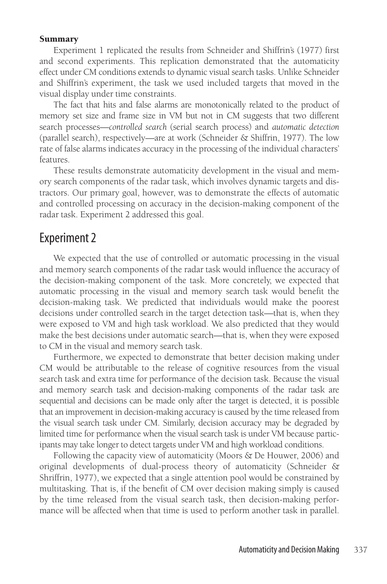#### Summary

Experiment 1 replicated the results from Schneider and Shiffrin's (1977) first and second experiments. This replication demonstrated that the automaticity effect under CM conditions extends to dynamic visual search tasks. Unlike Schneider and Shiffrin's experiment, the task we used included targets that moved in the visual display under time constraints.

The fact that hits and false alarms are monotonically related to the product of memory set size and frame size in VM but not in CM suggests that two different search processes—*controlled search* (serial search process) and *automatic detection* (parallel search), respectively—are at work (Schneider & Shiffrin, 1977). The low rate of false alarms indicates accuracy in the processing of the individual characters' features.

These results demonstrate automaticity development in the visual and memory search components of the radar task, which involves dynamic targets and distractors. Our primary goal, however, was to demonstrate the effects of automatic and controlled processing on accuracy in the decision-making component of the radar task. Experiment 2 addressed this goal.

# Experiment 2

We expected that the use of controlled or automatic processing in the visual and memory search components of the radar task would influence the accuracy of the decision-making component of the task. More concretely, we expected that automatic processing in the visual and memory search task would benefit the decision-making task. We predicted that individuals would make the poorest decisions under controlled search in the target detection task—that is, when they were exposed to VM and high task workload. We also predicted that they would make the best decisions under automatic search—that is, when they were exposed to CM in the visual and memory search task.

Furthermore, we expected to demonstrate that better decision making under CM would be attributable to the release of cognitive resources from the visual search task and extra time for performance of the decision task. Because the visual and memory search task and decision-making components of the radar task are sequential and decisions can be made only after the target is detected, it is possible that an improvement in decision-making accuracy is caused by the time released from the visual search task under CM. Similarly, decision accuracy may be degraded by limited time for performance when the visual search task is under VM because participants may take longer to detect targets under VM and high workload conditions.

Following the capacity view of automaticity (Moors & De Houwer, 2006) and original developments of dual-process theory of automaticity (Schneider & Shriffrin, 1977), we expected that a single attention pool would be constrained by multitasking. That is, if the benefit of CM over decision making simply is caused by the time released from the visual search task, then decision-making performance will be affected when that time is used to perform another task in parallel.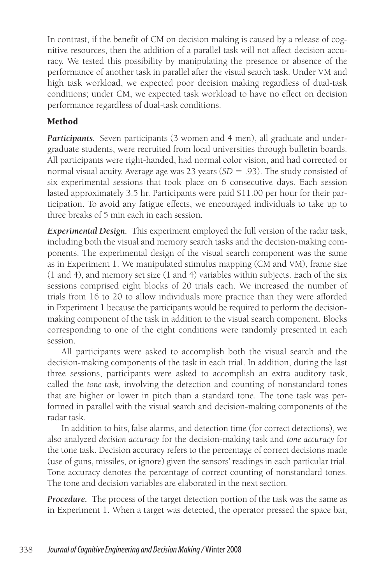In contrast, if the benefit of CM on decision making is caused by a release of cognitive resources, then the addition of a parallel task will not affect decision accuracy. We tested this possibility by manipulating the presence or absence of the performance of another task in parallel after the visual search task. Under VM and high task workload, we expected poor decision making regardless of dual-task conditions; under CM, we expected task workload to have no effect on decision performance regardless of dual-task conditions.

### **Method**

*Participants.* Seven participants (3 women and 4 men), all graduate and undergraduate students, were recruited from local universities through bulletin boards. All participants were right-handed, had normal color vision, and had corrected or normal visual acuity. Average age was 23 years (*SD* = .93). The study consisted of six experimental sessions that took place on 6 consecutive days. Each session lasted approximately 3.5 hr. Participants were paid \$11.00 per hour for their participation. To avoid any fatigue effects, we encouraged individuals to take up to three breaks of 5 min each in each session.

*Experimental Design.* This experiment employed the full version of the radar task, including both the visual and memory search tasks and the decision-making components. The experimental design of the visual search component was the same as in Experiment 1. We manipulated stimulus mapping (CM and VM), frame size (1 and 4), and memory set size (1 and 4) variables within subjects. Each of the six sessions comprised eight blocks of 20 trials each. We increased the number of trials from 16 to 20 to allow individuals more practice than they were afforded in Experiment 1 because the participants would be required to perform the decisionmaking component of the task in addition to the visual search component. Blocks corresponding to one of the eight conditions were randomly presented in each session.

All participants were asked to accomplish both the visual search and the decision-making components of the task in each trial. In addition, during the last three sessions, participants were asked to accomplish an extra auditory task, called the *tone task,* involving the detection and counting of nonstandard tones that are higher or lower in pitch than a standard tone. The tone task was performed in parallel with the visual search and decision-making components of the radar task.

In addition to hits, false alarms, and detection time (for correct detections), we also analyzed *decision accuracy* for the decision-making task and *tone accuracy* for the tone task. Decision accuracy refers to the percentage of correct decisions made (use of guns, missiles, or ignore) given the sensors' readings in each particular trial. Tone accuracy denotes the percentage of correct counting of nonstandard tones. The tone and decision variables are elaborated in the next section.

*Procedure.* The process of the target detection portion of the task was the same as in Experiment 1. When a target was detected, the operator pressed the space bar,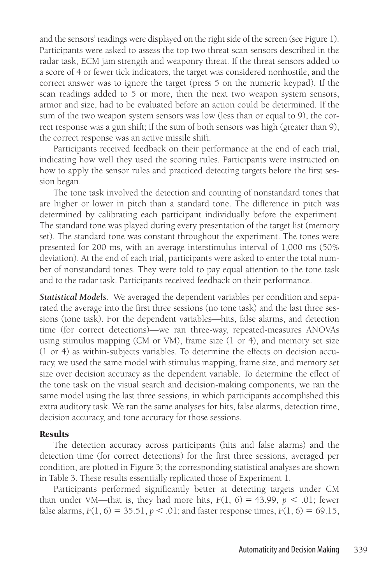and the sensors' readings were displayed on the right side of the screen (see Figure 1). Participants were asked to assess the top two threat scan sensors described in the radar task, ECM jam strength and weaponry threat. If the threat sensors added to a score of 4 or fewer tick indicators, the target was considered nonhostile, and the correct answer was to ignore the target (press 5 on the numeric keypad). If the scan readings added to 5 or more, then the next two weapon system sensors, armor and size, had to be evaluated before an action could be determined. If the sum of the two weapon system sensors was low (less than or equal to 9), the correct response was a gun shift; if the sum of both sensors was high (greater than 9), the correct response was an active missile shift.

Participants received feedback on their performance at the end of each trial, indicating how well they used the scoring rules. Participants were instructed on how to apply the sensor rules and practiced detecting targets before the first session began.

The tone task involved the detection and counting of nonstandard tones that are higher or lower in pitch than a standard tone. The difference in pitch was determined by calibrating each participant individually before the experiment. The standard tone was played during every presentation of the target list (memory set). The standard tone was constant throughout the experiment. The tones were presented for 200 ms, with an average interstimulus interval of 1,000 ms (50% deviation). At the end of each trial, participants were asked to enter the total number of nonstandard tones. They were told to pay equal attention to the tone task and to the radar task. Participants received feedback on their performance.

*Statistical Models.* We averaged the dependent variables per condition and separated the average into the first three sessions (no tone task) and the last three sessions (tone task). For the dependent variables—hits, false alarms, and detection time (for correct detections)—we ran three-way, repeated-measures ANOVAs using stimulus mapping (CM or VM), frame size (1 or 4), and memory set size (1 or 4) as within-subjects variables. To determine the effects on decision accuracy, we used the same model with stimulus mapping, frame size, and memory set size over decision accuracy as the dependent variable. To determine the effect of the tone task on the visual search and decision-making components, we ran the same model using the last three sessions, in which participants accomplished this extra auditory task. We ran the same analyses for hits, false alarms, detection time, decision accuracy, and tone accuracy for those sessions.

#### Results

The detection accuracy across participants (hits and false alarms) and the detection time (for correct detections) for the first three sessions, averaged per condition, are plotted in Figure 3; the corresponding statistical analyses are shown in Table 3. These results essentially replicated those of Experiment 1.

Participants performed significantly better at detecting targets under CM than under VM—that is, they had more hits,  $F(1, 6) = 43.99$ ,  $p < .01$ ; fewer false alarms,  $F(1, 6) = 35.51$ ,  $p < .01$ ; and faster response times,  $F(1, 6) = 69.15$ ,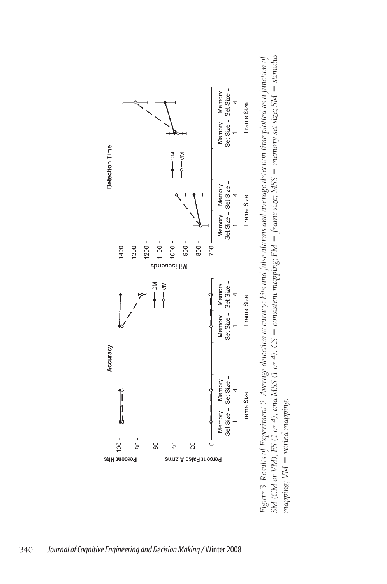

Figure 3. Results of Experiment 2. Average detection accuracy: hits and false alarms and average detection time plotted as a function of *Figure 3. Results of Experiment 2. Average detection accuracy: hits and false alarms and average detection time plotted as a function of stimulus memory set size; SM frame size; MSS consistent mapping; FM SM (CM or VM), FS (1 or 4), and MSS (1 or 4). CS* mapping;  $VM = varied$  mapping. *varied mapping.mapping; VM*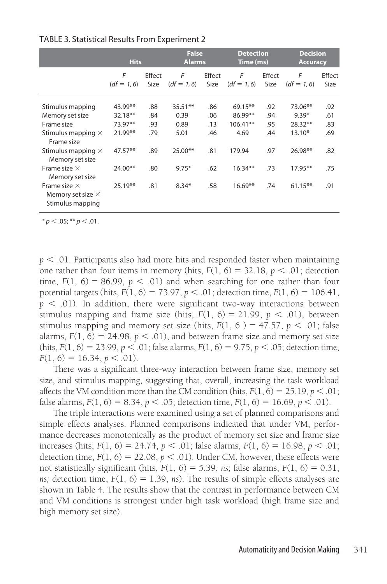|                                                                                                                                                                                                               | <b>Hits</b>                                                                   |                                               | <b>False</b><br><b>Alarms</b>                                    |                                               | <b>Detection</b><br>Time (ms)                                              |                                               | <b>Decision</b><br><b>Accuracy</b>                                              |                                               |
|---------------------------------------------------------------------------------------------------------------------------------------------------------------------------------------------------------------|-------------------------------------------------------------------------------|-----------------------------------------------|------------------------------------------------------------------|-----------------------------------------------|----------------------------------------------------------------------------|-----------------------------------------------|---------------------------------------------------------------------------------|-----------------------------------------------|
|                                                                                                                                                                                                               | F<br>$(df = 1, 6)$                                                            | Effect<br>Size                                | F<br>$(df = 1, 6)$                                               | Effect<br>Size                                | F<br>$(df = 1, 6)$                                                         | Effect<br><b>Size</b>                         | F<br>$(df = 1, 6)$                                                              | Effect<br>Size                                |
| Stimulus mapping<br>Memory set size<br>Frame size<br>Stimulus mapping $\times$<br>Frame size<br>Stimulus mapping $\times$<br>Memory set size<br>Frame size $\times$<br>Memory set size<br>Frame size $\times$ | 43.99**<br>32.18**<br>73.97**<br>21.99**<br>$47.57**$<br>24.00**<br>$25.19**$ | .88<br>.84<br>.93<br>.79<br>.89<br>.80<br>.81 | 35.51**<br>0.39<br>0.89<br>5.01<br>25.00**<br>$9.75*$<br>$8.34*$ | .86<br>.06<br>.13<br>.46<br>.81<br>.62<br>.58 | 69.15**<br>86.99**<br>106.41**<br>4.69<br>179.94<br>$16.34**$<br>$16.69**$ | .92<br>.94<br>.95<br>.44<br>.97<br>.73<br>.74 | 73.06**<br>$9.39*$<br>28.32**<br>$13.10*$<br>26.98**<br>$17.95**$<br>$61.15***$ | .92<br>.61<br>.83<br>.69<br>.82<br>.75<br>.91 |
| Memory set size $\times$<br>Stimulus mapping                                                                                                                                                                  |                                                                               |                                               |                                                                  |                                               |                                                                            |                                               |                                                                                 |                                               |

#### TABLE 3. Statistical Results From Experiment 2

 $* p < .05; ** p < .01.$ 

 $p<$  .01. Participants also had more hits and responded faster when maintaining one rather than four items in memory (hits,  $F(1, 6) = 32.18$ ,  $p < .01$ ; detection time,  $F(1, 6) = 86.99$ ,  $p < .01$ ) and when searching for one rather than four potential targets (hits,  $F(1, 6) = 73.97$ ,  $p < .01$ ; detection time,  $F(1, 6) = 106.41$ ,  $p$   $\lt$  .01). In addition, there were significant two-way interactions between stimulus mapping and frame size (hits,  $F(1, 6) = 21.99$ ,  $p < .01$ ), between stimulus mapping and memory set size (hits,  $F(1, 6) = 47.57, p < .01$ ; false alarms,  $F(1, 6) = 24.98$ ,  $p < .01$ ), and between frame size and memory set size (hits,  $F(1, 6) = 23.99$ ,  $p < .01$ ; false alarms,  $F(1, 6) = 9.75$ ,  $p < .05$ ; detection time,  $F(1, 6) = 16.34, p < .01$ ).

There was a significant three-way interaction between frame size, memory set size, and stimulus mapping, suggesting that, overall, increasing the task workload affects the VM condition more than the CM condition (hits,  $F(1, 6) = 25.19, p < .01;$ false alarms,  $F(1, 6) = 8.34$ ,  $p < .05$ ; detection time,  $F(1, 6) = 16.69$ ,  $p < .01$ ).

The triple interactions were examined using a set of planned comparisons and simple effects analyses. Planned comparisons indicated that under VM, performance decreases monotonically as the product of memory set size and frame size increases (hits,  $F(1, 6) = 24.74$ ,  $p < .01$ ; false alarms,  $F(1, 6) = 16.98$ ,  $p < .01$ ; detection time,  $F(1, 6) = 22.08$ ,  $p < .01$ ). Under CM, however, these effects were not statistically significant (hits,  $F(1, 6) = 5.39$ , *ns*; false alarms,  $F(1, 6) = 0.31$ , *ns*; detection time,  $F(1, 6) = 1.39$ , *ns*). The results of simple effects analyses are shown in Table 4. The results show that the contrast in performance between CM and VM conditions is strongest under high task workload (high frame size and high memory set size).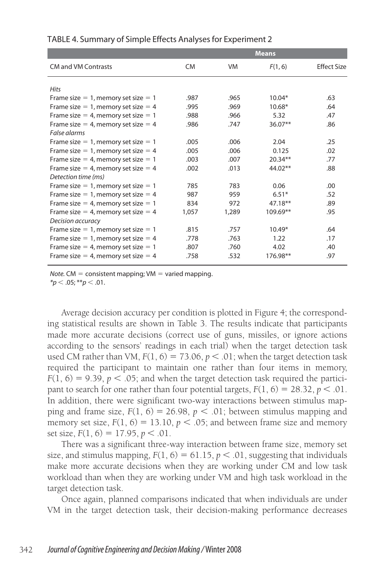|                                          | <b>Means</b> |           |           |                    |  |
|------------------------------------------|--------------|-----------|-----------|--------------------|--|
| <b>CM and VM Contrasts</b>               | <b>CM</b>    | <b>VM</b> | F(1, 6)   | <b>Effect Size</b> |  |
| <b>Hits</b>                              |              |           |           |                    |  |
| Frame size $= 1$ , memory set size $= 1$ | .987         | .965      | $10.04*$  | .63                |  |
| Frame size $= 1$ , memory set size $= 4$ | .995         | .969      | $10.68*$  | .64                |  |
| Frame size = 4, memory set size = 1      | .988         | .966      | 5.32      | .47                |  |
| Frame size = 4, memory set size = 4      | .986         | .747      | $36.07**$ | .86                |  |
| False alarms                             |              |           |           |                    |  |
| Frame size $= 1$ , memory set size $= 1$ | .005         | .006      | 2.04      | .25                |  |
| Frame size = 1, memory set size = 4      | .005         | .006      | 0.125     | .02                |  |
| Frame size = 4, memory set size = 1      | .003         | .007      | $20.34**$ | .77                |  |
| Frame size = 4, memory set size = 4      | .002         | .013      | 44.02**   | .88                |  |
| Detection time (ms)                      |              |           |           |                    |  |
| Frame size = 1, memory set size = 1      | 785          | 783       | 0.06      | .00.               |  |
| Frame size = 1, memory set size = 4      | 987          | 959       | $6.51*$   | .52                |  |
| Frame size = 4, memory set size = $1$    | 834          | 972       | $47.18**$ | .89                |  |
| Frame size = 4, memory set size = 4      | 1,057        | 1,289     | 109.69**  | .95                |  |
| Decision accuracy                        |              |           |           |                    |  |
| Frame size $= 1$ , memory set size $= 1$ | .815         | .757      | $10.49*$  | .64                |  |
| Frame size $= 1$ , memory set size $= 4$ | .778         | .763      | 1.22      | .17                |  |
| Frame size $=$ 4, memory set size $=$ 1  | .807         | .760      | 4.02      | .40                |  |
| Frame size = 4, memory set size = 4      | .758         | .532      | 176.98**  | .97                |  |

#### TABLE 4. Summary of Simple Effects Analyses for Experiment 2

Note. CM = consistent mapping;  $VM$  = varied mapping.  $*_{p}$  < .05;  $*_{p}$  < .01.

Average decision accuracy per condition is plotted in Figure 4; the corresponding statistical results are shown in Table 3. The results indicate that participants made more accurate decisions (correct use of guns, missiles, or ignore actions according to the sensors' readings in each trial) when the target detection task used CM rather than VM,  $F(1, 6) = 73.06, p < .01$ ; when the target detection task required the participant to maintain one rather than four items in memory,  $F(1, 6) = 9.39$ ,  $p < .05$ ; and when the target detection task required the participant to search for one rather than four potential targets,  $F(1, 6) = 28.32, p < .01$ . In addition, there were significant two-way interactions between stimulus mapping and frame size,  $F(1, 6) = 26.98$ ,  $p < .01$ ; between stimulus mapping and memory set size,  $F(1, 6) = 13.10$ ,  $p < .05$ ; and between frame size and memory set size,  $F(1, 6) = 17.95, p < .01$ .

There was a significant three-way interaction between frame size, memory set size, and stimulus mapping,  $F(1, 6) = 61.15$ ,  $p < .01$ , suggesting that individuals make more accurate decisions when they are working under CM and low task workload than when they are working under VM and high task workload in the target detection task.

Once again, planned comparisons indicated that when individuals are under VM in the target detection task, their decision-making performance decreases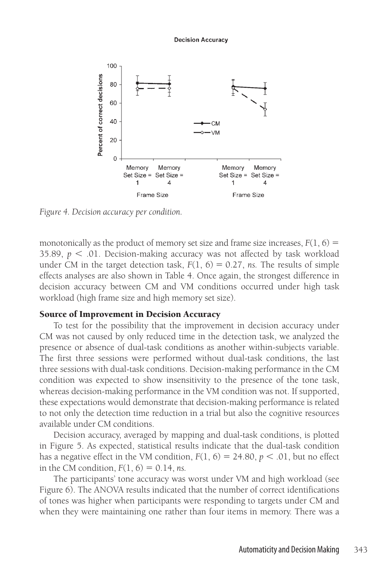

*Figure 4. Decision accuracy per condition.*

monotonically as the product of memory set size and frame size increases, *F*(1, 6) 35.89,  $p < .01$ . Decision-making accuracy was not affected by task workload under CM in the target detection task,  $F(1, 6) = 0.27$ , *ns.* The results of simple effects analyses are also shown in Table 4. Once again, the strongest difference in decision accuracy between CM and VM conditions occurred under high task workload (high frame size and high memory set size).

#### Source of Improvement in Decision Accuracy

To test for the possibility that the improvement in decision accuracy under CM was not caused by only reduced time in the detection task, we analyzed the presence or absence of dual-task conditions as another within-subjects variable. The first three sessions were performed without dual-task conditions, the last three sessions with dual-task conditions. Decision-making performance in the CM condition was expected to show insensitivity to the presence of the tone task, whereas decision-making performance in the VM condition was not. If supported, these expectations would demonstrate that decision-making performance is related to not only the detection time reduction in a trial but also the cognitive resources available under CM conditions.

Decision accuracy, averaged by mapping and dual-task conditions, is plotted in Figure 5. As expected, statistical results indicate that the dual-task condition has a negative effect in the VM condition,  $F(1, 6) = 24.80, p < .01$ , but no effect in the CM condition,  $F(1, 6) = 0.14$ , *ns.* 

The participants' tone accuracy was worst under VM and high workload (see Figure 6). The ANOVA results indicated that the number of correct identifications of tones was higher when participants were responding to targets under CM and when they were maintaining one rather than four items in memory. There was a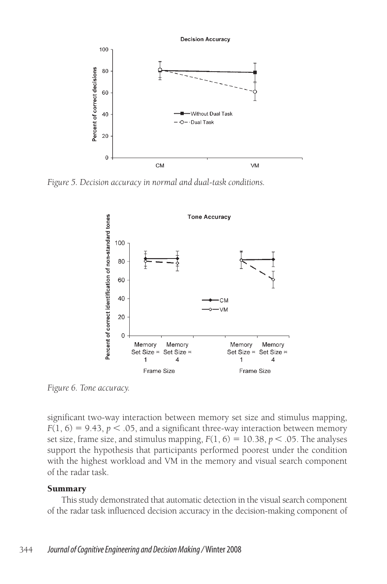

*Figure 5. Decision accuracy in normal and dual-task conditions.*



*Figure 6. Tone accuracy.*

significant two-way interaction between memory set size and stimulus mapping,  $F(1, 6) = 9.43$ ,  $p < .05$ , and a significant three-way interaction between memory set size, frame size, and stimulus mapping,  $F(1, 6) = 10.38$ ,  $p < .05$ . The analyses support the hypothesis that participants performed poorest under the condition with the highest workload and VM in the memory and visual search component of the radar task.

#### Summary

This study demonstrated that automatic detection in the visual search component of the radar task influenced decision accuracy in the decision-making component of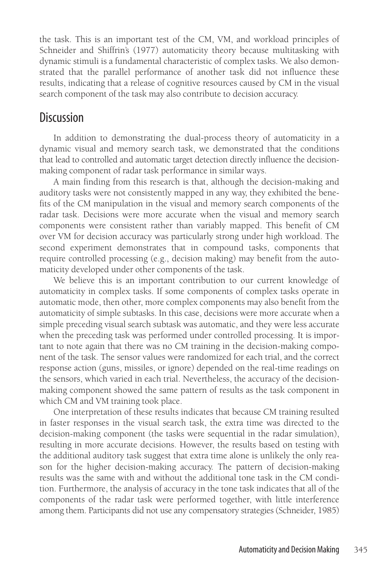the task. This is an important test of the CM, VM, and workload principles of Schneider and Shiffrin's (1977) automaticity theory because multitasking with dynamic stimuli is a fundamental characteristic of complex tasks. We also demonstrated that the parallel performance of another task did not influence these results, indicating that a release of cognitive resources caused by CM in the visual search component of the task may also contribute to decision accuracy.

# **Discussion**

In addition to demonstrating the dual-process theory of automaticity in a dynamic visual and memory search task, we demonstrated that the conditions that lead to controlled and automatic target detection directly influence the decisionmaking component of radar task performance in similar ways.

A main finding from this research is that, although the decision-making and auditory tasks were not consistently mapped in any way, they exhibited the benefits of the CM manipulation in the visual and memory search components of the radar task. Decisions were more accurate when the visual and memory search components were consistent rather than variably mapped. This benefit of CM over VM for decision accuracy was particularly strong under high workload. The second experiment demonstrates that in compound tasks, components that require controlled processing (e.g., decision making) may benefit from the automaticity developed under other components of the task.

We believe this is an important contribution to our current knowledge of automaticity in complex tasks. If some components of complex tasks operate in automatic mode, then other, more complex components may also benefit from the automaticity of simple subtasks. In this case, decisions were more accurate when a simple preceding visual search subtask was automatic, and they were less accurate when the preceding task was performed under controlled processing. It is important to note again that there was no CM training in the decision-making component of the task. The sensor values were randomized for each trial, and the correct response action (guns, missiles, or ignore) depended on the real-time readings on the sensors, which varied in each trial. Nevertheless, the accuracy of the decisionmaking component showed the same pattern of results as the task component in which CM and VM training took place.

One interpretation of these results indicates that because CM training resulted in faster responses in the visual search task, the extra time was directed to the decision-making component (the tasks were sequential in the radar simulation), resulting in more accurate decisions. However, the results based on testing with the additional auditory task suggest that extra time alone is unlikely the only reason for the higher decision-making accuracy. The pattern of decision-making results was the same with and without the additional tone task in the CM condition. Furthermore, the analysis of accuracy in the tone task indicates that all of the components of the radar task were performed together, with little interference among them. Participants did not use any compensatory strategies (Schneider, 1985)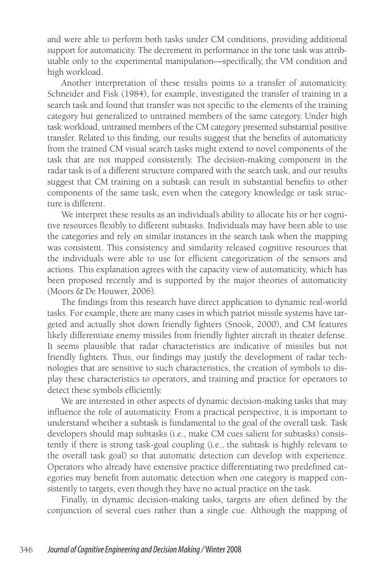and were able to perform both tasks under CM conditions, providing additional support for automaticity. The decrement in performance in the tone task was attributable only to the experimental manipulation—specifically, the VM condition and high workload.

Another interpretation of these results points to a transfer of automaticity. Schneider and Fisk (1984), for example, investigated the transfer of training in a search task and found that transfer was not specific to the elements of the training category but generalized to untrained members of the same category. Under high task workload, untrained members of the CM category presented substantial positive transfer. Related to this finding, our results suggest that the benefits of automaticity from the trained CM visual search tasks might extend to novel components of the task that are not mapped consistently. The decision-making component in the radar task is of a different structure compared with the search task, and our results suggest that CM training on a subtask can result in substantial benefits to other components of the same task, even when the category knowledge or task structure is different.

We interpret these results as an individual's ability to allocate his or her cognitive resources flexibly to different subtasks. Individuals may have been able to use the categories and rely on similar instances in the search task when the mapping was consistent. This consistency and similarity released cognitive resources that the individuals were able to use for efficient categorization of the sensors and actions. This explanation agrees with the capacity view of automaticity, which has been proposed recently and is supported by the major theories of automaticity (Moors & De Houwer, 2006).

The findings from this research have direct application to dynamic real-world tasks. For example, there are many cases in which patriot missile systems have targeted and actually shot down friendly fighters (Snook, 2000), and CM features likely differentiate enemy missiles from friendly fighter aircraft in theater defense. It seems plausible that radar characteristics are indicative of missiles but not friendly fighters. Thus, our findings may justify the development of radar technologies that are sensitive to such characteristics, the creation of symbols to display these characteristics to operators, and training and practice for operators to detect these symbols efficiently.

We are interested in other aspects of dynamic decision-making tasks that may influence the role of automaticity. From a practical perspective, it is important to understand whether a subtask is fundamental to the goal of the overall task. Task developers should map subtasks (i.e., make CM cues salient for subtasks) consistently if there is strong task-goal coupling (i.e., the subtask is highly relevant to the overall task goal) so that automatic detection can develop with experience. Operators who already have extensive practice differentiating two predefined categories may benefit from automatic detection when one category is mapped consistently to targets, even though they have no actual practice on the task.

Finally, in dynamic decision-making tasks, targets are often defined by the conjunction of several cues rather than a single cue. Although the mapping of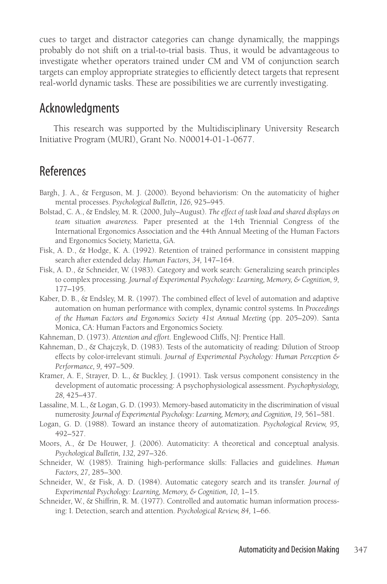cues to target and distractor categories can change dynamically, the mappings probably do not shift on a trial-to-trial basis. Thus, it would be advantageous to investigate whether operators trained under CM and VM of conjunction search targets can employ appropriate strategies to efficiently detect targets that represent real-world dynamic tasks. These are possibilities we are currently investigating.

# Acknowledgments

This research was supported by the Multidisciplinary University Research Initiative Program (MURI), Grant No. N00014-01-1-0677.

# **References**

- Bargh, J. A., & Ferguson, M. J. (2000). Beyond behaviorism: On the automaticity of higher mental processes. *Psychological Bulletin, 126,* 925–945.
- Bolstad, C. A., & Endsley, M. R. (2000, July–August). *The effect of task load and shared displays on team situation awareness.* Paper presented at the 14th Triennial Congress of the International Ergonomics Association and the 44th Annual Meeting of the Human Factors and Ergonomics Society, Marietta, GA.
- Fisk, A. D., & Hodge, K. A. (1992). Retention of trained performance in consistent mapping search after extended delay. *Human Factors, 34,* 147–164.
- Fisk, A. D., & Schneider, W. (1983). Category and work search: Generalizing search principles to complex processing. *Journal of Experimental Psychology: Learning, Memory, & Cognition, 9,* 177–195.
- Kaber, D. B., & Endsley, M. R. (1997). The combined effect of level of automation and adaptive automation on human performance with complex, dynamic control systems. In *Proceedings of the Human Factors and Ergonomics Society 41st Annual Meeting* (pp. 205–209). Santa Monica, CA: Human Factors and Ergonomics Society.
- Kahneman, D. (1973). *Attention and effort.* Englewood Cliffs, NJ: Prentice Hall.
- Kahneman, D., & Chajczyk, D. (1983). Tests of the automaticity of reading: Dilution of Stroop effects by color-irrelevant stimuli. *Journal of Experimental Psychology: Human Perception & Performance, 9,* 497–509.
- Kramer, A. F., Strayer, D. L., & Buckley, J. (1991). Task versus component consistency in the development of automatic processing: A psychophysiological assessment. *Psychophysiology, 28,* 425–437.
- Lassaline, M. L., & Logan, G. D. (1993). Memory-based automaticity in the discrimination of visual numerosity. *Journal of Experimental Psychology: Learning, Memory, and Cognition, 19, 561–581.*
- Logan, G. D. (1988). Toward an instance theory of automatization. *Psychological Review, 95,* 492–527.
- Moors, A., & De Houwer, J. (2006). Automaticity: A theoretical and conceptual analysis. *Psychological Bulletin, 132,* 297–326.
- Schneider, W. (1985). Training high-performance skills: Fallacies and guidelines. *Human Factors, 27,* 285–300.
- Schneider, W., & Fisk, A. D. (1984). Automatic category search and its transfer. *Journal of Experimental Psychology: Learning, Memory, & Cognition, 10,* 1–15.
- Schneider, W., & Shiffrin, R. M. (1977). Controlled and automatic human information processing: I. Detection, search and attention. *Psychological Review, 84,* 1–66.